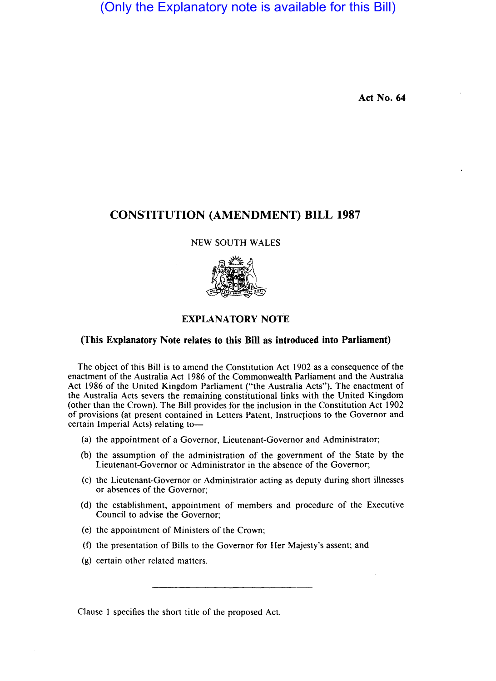# (Only the Explanatory note is available for this Bill)

**Act No. 64** 

## **CONSTITUTION (AMENDMENT) BILL 1987**

## NEW SOUTH WALES



## **EXPLANATORY NOTE**

### **(This Explanatory Note relates to this Bill as introduced into Parliament)**

The object of this Bill is to amend the Constitution Act 1902 as a consequence of the enactment of the Australia Act 1986 of the Commonwealth Parliament and the Australia Act 1986 of the United Kingdom Parliament ("the Australia Acts"). The enactment of the Australia Acts severs the remaining constitutional links with the United Kingdom (other than the Crown). The Bill provides for the inclusion in the Constitution Act 1902 of provisions (at present contained in Letters Patent, Instructions to the Governor and certain Imperial Acts) relating to-

- (a) the appointment of a Governor, Lieutenant-Governor and Administrator;
- (b) the assumption of the administration of the government of the State by the Lieutenant-Governor or Administrator in the absence of the Governor;
- (c) the Lieutenant-Governor or Administrator acting as deputy during short illnesses or absences of the Governor;
- (d) the establishment, appointment of members and procedure of the Executive Council to advise the Governor;
- (e) the appointment of Ministers of the Crown;
- (f) the presentation of Bills to the Governor for Her Majesty's assent; and
- (g) certain other related matters.

Clause I specifies the short title of the proposed Act.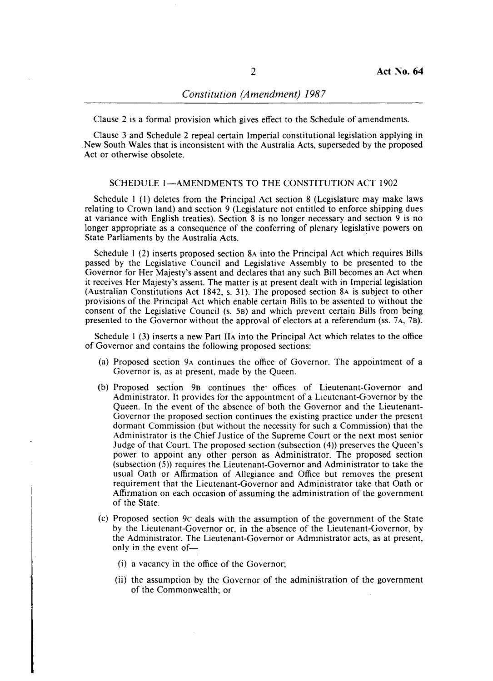Clause 2 is a formal provision which gives effect to the Schedule of amendments.

Clause 3 and Schedule 2 repeal certain Imperial constitutional legislation applying in . New South Wales that is inconsistent with the Australia Acts, superseded by the proposed Act or otherwise obsolete.

## SCHEDULE 1-AMENDMENTS TO THE CONSTITUTION ACT 1902

Schedule I (I) deletes from the Principal Act section 8 (Legislature may make laws relating to Crown land) and section 9 (Legislature not entitled to enforce shipping dues at variance with English treaties). Section 8 is no longer necessary and section 9 is no longer appropriate as a consequence of the conferring of plenary legislative powers on State Parliaments by the Australia Acts.

Schedule I (2) inserts proposed section 8A into the Principal Act which requires Bills passed by the Legislative Council and Legislative Assembly to be presented to the Governor for Her Majesty's assent and declares that any such Bill becomes an Act when it receives Her Majesty's assent. The matter is at present dealt with in Imperial legislation (Australian Constitutions Act 1842, s. 31). The proposed section 8A is subject to other provisions of the Principal Act which enable certain Bills to be assented to without the consent of the Legislative Council (s. 5B) and which prevent certain Bills from being presented to the Governor without the approval of electors at a referendum (ss. 7 A, 7B).

Schedule I (3) inserts a new Part IIA into the Principal Act which relates to the office of Governor and contains the following proposed sections:

- (a) Proposed section 9A continues the office of Governor. The appointment of a Governor is, as at present, made by the Queen.
- (b) Proposed section 9B continues the' offices of Lieutenant-Governor and Administrator. It provides for the appointment of a Lieutenant-Governor by the Queen. In the event of the absence of both the Governor and the Lieutenant-Governor the proposed section continues the existing practice under the present dormant Commission (but without the necessity for such a Commission) that the Administrator is the Chief Justice of the Supreme Court or the next most senior Judge of that Court. The proposed section (subsection (4» preserves the Queen's power to appoint any other person as Administrator. The proposed section (subsection (5)) requires the Lieutenant-Governor and Administrator to take the usual Oath or Affirmation of Allegiance and Office but removes the present requirement that the Lieutenant-Governor and Administrator take that Oath or Affirmation on each occasion of assuming the administration of the government of the State.
- (c) Proposed section 9c deals with the assumption of the government of the State by the Lieutenant-Governor or, in the absence of the Lieutenant-Governor, by the Administrator. The Lieutenant-Governor or Administrator acts, as at present, only in the event of-
	- (i) a vacancy in the office of the Governor;
	- (ii) the assumption by the Governor of the administration of the government of the Commonwealth; or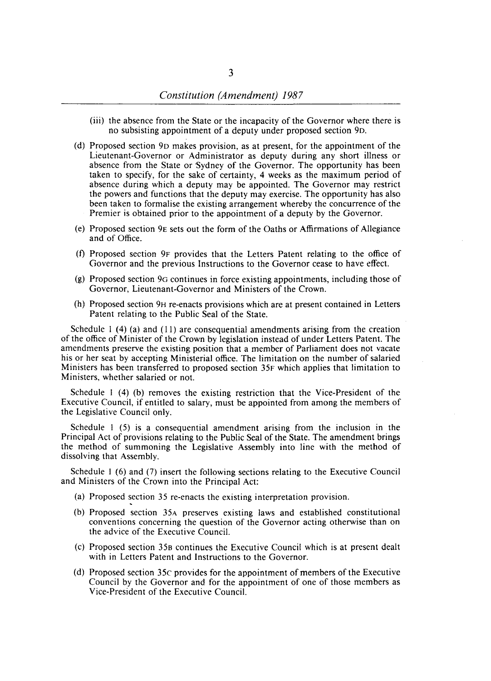- (iii) the absence from the State or the incapacity of the Governor where there is no subsisting appointment of a deputy under proposed section 9D.
- (d) Proposed section 9D makes provision, as at present, for the appointment of the Lieutenant-Governor or Administrator as deputy during any short illness or absence from the State or 'Sydney of the Governor. The opportunity has been taken to specify, for the sake of certainty, 4 weeks as the maximum period of absence during which a deputy may be appointed. The Governor may restrict the powers and functions that the deputy may exercise. The opportunity has also been taken to formalise the existing arrangement whereby the concurrence of the Premier is obtained prior to the appointment of a deputy by the Governor.
- (e) Proposed section 9E sets out the form of the Oaths or Affirmations of Allegiance and of Office.
- (f) Proposed section 9F provides that the Letters Patent relating to the office of Governor and the previous Instructions to the Governor cease to have effect.
- (g) Proposed section 90 continues in force existing appointments, including those of Governor, Lieutenant-Governor and Ministers of the Crown.
- (h) Proposed section 9H re-enacts provisions which are at present contained in Letters Patent relating to the Public Seal of the State.

Schedule I (4) (a) and (11) are consequential amendments arising from the creation of the office of Minister of the Crown by legislation instead of under Letters Patent. The amendments preserve the existing position that a member of Parliament does not vacate his or her seat by accepting Ministerial office. The limitation on the number of salaried Ministers has been transferred to proposed section 35F which applies that limitation to Ministers, whether salaried or not.

Schedule I (4) (b) removes the existing restriction that the Vice-President of the Executive Council, if entitled to salary, must be appointed from among the members of the Legislative Council only.

Schedule I (5) is a consequential amendment arising from the inclusion in the Principal Act of provisions relating to the Public Seal of the State. The amendment brings the method of summoning the Legislative Assembly into line with the method of dissolving that Assembly.

Schedule I (6) and (7) insert the following sections relating to the Executive Council and Ministers of the Crown into the Principal Act:

- (a) Proposed section 35 re-enacts the existing interpretation provision.
- (b) Proposed section 35A preserves existing laws and established constitutional conventions concerning the question of the Governor acting otherwise than on the advice of the Executive Council.
- (c) Proposed section 358 continues the Executive Council which is at present dealt with in Letters Patent and Instructions to the Governor.
- (d) Proposed section 35c provides for the appointment of members of the Executive Council by the Governor and for the appointment of one of those members as Vice-President of the Executive Council.